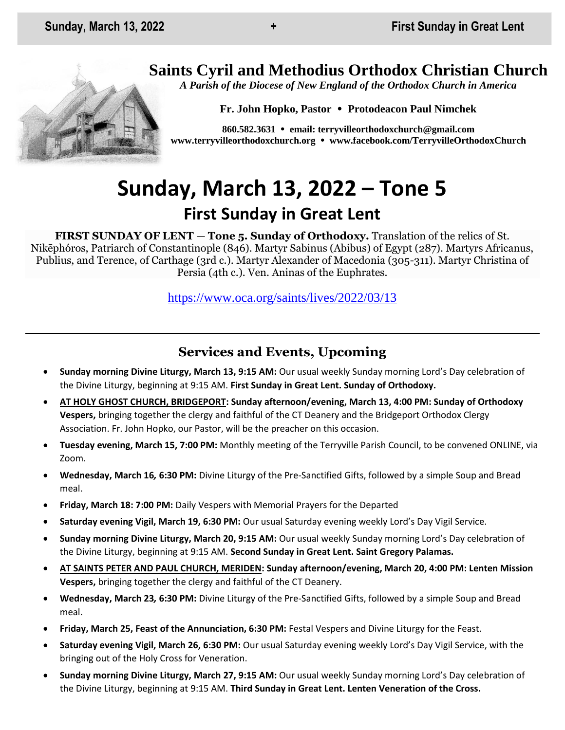# **Saints Cyril and Methodius Orthodox Christian Church**

*A Parish of the Diocese of New England of the Orthodox Church in America*

**Fr. John Hopko, Pastor Protodeacon Paul Nimchek**

**860.582.3631 email: [terryvilleorthodoxchurch@gmail.com](mailto:saintcyril@snet.net) [www.terryvilleorthodoxchurch.org](http://www.terryvilleorthodoxchurch.org/) [www.facebook.com/TerryvilleOrthodoxChurch](http://www.facebook.com/TerryvilleOrthodoxChurch)**

# **Sunday, March 13, 2022 – Tone 5 First Sunday in Great Lent**

**FIRST SUNDAY OF LENT** — **Tone 5. Sunday of Orthodoxy.** Translation of the relics of St. Nikēphóros, Patriarch of Constantinople (846). Martyr Sabinus (Abibus) of Egypt (287). Martyrs Africanus, Publius, and Terence, of Carthage (3rd c.). Martyr Alexander of Macedonia (305-311). Martyr Christina of Persia (4th c.). Ven. Aninas of the Euphrates.

<https://www.oca.org/saints/lives/2022/03/13>

# **Services and Events, Upcoming**

- **Sunday morning Divine Liturgy, March 13, 9:15 AM:** Our usual weekly Sunday morning Lord's Day celebration of the Divine Liturgy, beginning at 9:15 AM. **First Sunday in Great Lent. Sunday of Orthodoxy.**
- **AT HOLY GHOST CHURCH, BRIDGEPORT: Sunday afternoon/evening, March 13, 4:00 PM: Sunday of Orthodoxy Vespers,** bringing together the clergy and faithful of the CT Deanery and the Bridgeport Orthodox Clergy Association. Fr. John Hopko, our Pastor, will be the preacher on this occasion.
- **Tuesday evening, March 15, 7:00 PM:** Monthly meeting of the Terryville Parish Council, to be convened ONLINE, via Zoom.
- **Wednesday, March 16***,* **6:30 PM:** Divine Liturgy of the Pre-Sanctified Gifts, followed by a simple Soup and Bread meal.
- **Friday, March 18: 7:00 PM:** Daily Vespers with Memorial Prayers for the Departed
- **Saturday evening Vigil, March 19, 6:30 PM:** Our usual Saturday evening weekly Lord's Day Vigil Service.
- **Sunday morning Divine Liturgy, March 20, 9:15 AM:** Our usual weekly Sunday morning Lord's Day celebration of the Divine Liturgy, beginning at 9:15 AM. **Second Sunday in Great Lent. Saint Gregory Palamas.**
- **AT SAINTS PETER AND PAUL CHURCH, MERIDEN: Sunday afternoon/evening, March 20, 4:00 PM: Lenten Mission Vespers,** bringing together the clergy and faithful of the CT Deanery.
- **Wednesday, March 23***,* **6:30 PM:** Divine Liturgy of the Pre-Sanctified Gifts, followed by a simple Soup and Bread meal.
- **Friday, March 25, Feast of the Annunciation, 6:30 PM:** Festal Vespers and Divine Liturgy for the Feast.
- **Saturday evening Vigil, March 26, 6:30 PM:** Our usual Saturday evening weekly Lord's Day Vigil Service, with the bringing out of the Holy Cross for Veneration.
- **Sunday morning Divine Liturgy, March 27, 9:15 AM:** Our usual weekly Sunday morning Lord's Day celebration of the Divine Liturgy, beginning at 9:15 AM. **Third Sunday in Great Lent. Lenten Veneration of the Cross.**

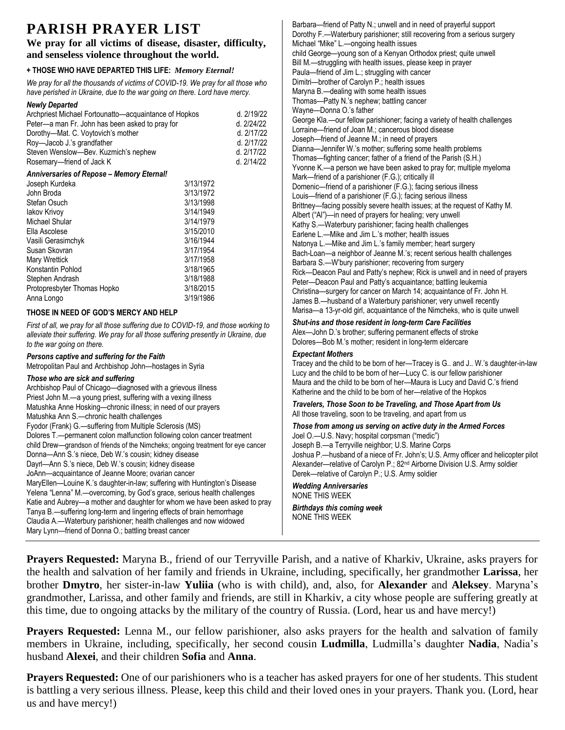# **PARISH PRAYER LIST**

#### **We pray for all victims of disease, disaster, difficulty, and senseless violence throughout the world.**

#### **+ THOSE WHO HAVE DEPARTED THIS LIFE:** *Memory Eternal!*

*We pray for all the thousands of victims of COVID-19. We pray for all those who have perished in Ukraine, due to the war going on there. Lord have mercy.* 

| Newly Departed |  |
|----------------|--|
|----------------|--|

| d. 2/19/22 |
|------------|
| d. 2/24/22 |
| d. 2/17/22 |
| d. 2/17/22 |
| d. 2/17/22 |
| d. 2/14/22 |
|            |

#### *Anniversaries of Repose – Memory Eternal!*

| Joseph Kurdeka              | 3/13/1972 |
|-----------------------------|-----------|
| John Broda                  | 3/13/1972 |
| Stefan Osuch                | 3/13/1998 |
| lakov Krivoy                | 3/14/1949 |
| Michael Shular              | 3/14/1979 |
| Ella Ascolese               | 3/15/2010 |
| Vasili Gerasimchyk          | 3/16/1944 |
| Susan Skovran               | 3/17/1954 |
| Mary Wrettick               | 3/17/1958 |
| Konstantin Pohlod           | 3/18/1965 |
| Stephen Andrash             | 3/18/1988 |
| Protopresbyter Thomas Hopko | 3/18/2015 |
| Anna Longo                  | 3/19/1986 |

#### **THOSE IN NEED OF GOD'S MERCY AND HELP**

*First of all, we pray for all those suffering due to COVID-19, and those working to alleviate their suffering. We pray for all those suffering presently in Ukraine, due to the war going on there.* 

#### *Persons captive and suffering for the Faith*

Metropolitan Paul and Archbishop John—hostages in Syria

#### *Those who are sick and suffering*

Archbishop Paul of Chicago—diagnosed with a grievous illness Priest John M.—a young priest, suffering with a vexing illness Matushka Anne Hosking—chronic illness; in need of our prayers Matushka Ann S.—chronic health challenges Fyodor (Frank) G.—suffering from Multiple Sclerosis (MS) Dolores T.—permanent colon malfunction following colon cancer treatment child Drew—grandson of friends of the Nimcheks; ongoing treatment for eye cancer Donna—Ann S.'s niece, Deb W.'s cousin; kidney disease Dayrl—Ann S.'s niece, Deb W.'s cousin; kidney disease JoAnn—acquaintance of Jeanne Moore; ovarian cancer MaryEllen—Louine K.'s daughter-in-law; suffering with Huntington's Disease Yelena "Lenna" M.—overcoming, by God's grace, serious health challenges Katie and Aubrey—a mother and daughter for whom we have been asked to pray Tanya B.—suffering long-term and lingering effects of brain hemorrhage Claudia A.—Waterbury parishioner; health challenges and now widowed Mary Lynn—friend of Donna O.; battling breast cancer

Barbara—friend of Patty N.; unwell and in need of prayerful support Dorothy F.—Waterbury parishioner; still recovering from a serious surgery Michael "Mike" L.—ongoing health issues child George—young son of a Kenyan Orthodox priest; quite unwell Bill M.—struggling with health issues, please keep in prayer Paula—friend of Jim L.; struggling with cancer Dimitri—brother of Carolyn P.; health issues Maryna B.—dealing with some health issues Thomas—Patty N.'s nephew; battling cancer Wayne—Donna O.'s father George Kla.—our fellow parishioner; facing a variety of health challenges Lorraine—friend of Joan M.; cancerous blood disease Joseph—friend of Jeanne M.; in need of prayers Dianna—Jennifer W.'s mother; suffering some health problems Thomas—fighting cancer; father of a friend of the Parish (S.H.) Yvonne K.—a person we have been asked to pray for; multiple myeloma Mark—friend of a parishioner (F.G.); critically ill Domenic—friend of a parishioner (F.G.); facing serious illness Louis—friend of a parishioner (F.G.); facing serious illness Brittney—facing possibly severe health issues; at the request of Kathy M. Albert ("Al")—in need of prayers for healing; very unwell Kathy S.—Waterbury parishioner; facing health challenges Earlene L.—Mike and Jim L.'s mother; health issues Natonya L.—Mike and Jim L.'s family member; heart surgery Bach-Loan—a neighbor of Jeanne M.'s; recent serious health challenges Barbara S.—W'bury parishioner; recovering from surgery Rick—Deacon Paul and Patty's nephew; Rick is unwell and in need of prayers Peter—Deacon Paul and Patty's acquaintance; battling leukemia Christina—surgery for cancer on March 14; acquaintance of Fr. John H. James B.—husband of a Waterbury parishioner; very unwell recently Marisa—a 13-yr-old girl, acquaintance of the Nimcheks, who is quite unwell

*Shut-ins and those resident in long-term Care Facilities* Alex—John D.'s brother; suffering permanent effects of stroke Dolores—Bob M.'s mother; resident in long-term eldercare

#### *Expectant Mothers*

Tracey and the child to be born of her—Tracey is G.. and J.. W.'s daughter-in-law Lucy and the child to be born of her—Lucy C. is our fellow parishioner Maura and the child to be born of her—Maura is Lucy and David C.'s friend Katherine and the child to be born of her—relative of the Hopkos

*Travelers, Those Soon to be Traveling, and Those Apart from Us* All those traveling, soon to be traveling, and apart from us

*Those from among us serving on active duty in the Armed Forces* Joel O.—U.S. Navy; hospital corpsman ("medic") Joseph B.—a Terryville neighbor; U.S. Marine Corps Joshua P.—husband of a niece of Fr. John's; U.S. Army officer and helicopter pilot Alexander—relative of Carolyn P.; 82nd Airborne Division U.S. Army soldier Derek—relative of Carolyn P.; U.S. Army soldier

*Wedding Anniversaries* NONE THIS WEEK

*Birthdays this coming week* NONE THIS WEEK

**Prayers Requested:** Maryna B., friend of our Terryville Parish, and a native of Kharkiv, Ukraine, asks prayers for the health and salvation of her family and friends in Ukraine, including, specifically, her grandmother **Larissa**, her brother **Dmytro**, her sister-in-law **Yuliia** (who is with child), and, also, for **Alexander** and **Aleksey**. Maryna's grandmother, Larissa, and other family and friends, are still in Kharkiv, a city whose people are suffering greatly at this time, due to ongoing attacks by the military of the country of Russia. (Lord, hear us and have mercy!)

**Prayers Requested:** Lenna M., our fellow parishioner, also asks prayers for the health and salvation of family members in Ukraine, including, specifically, her second cousin **Ludmilla**, Ludmilla's daughter **Nadia**, Nadia's husband **Alexei**, and their children **Sofia** and **Anna**.

**Prayers Requested:** One of our parishioners who is a teacher has asked prayers for one of her students. This student is battling a very serious illness. Please, keep this child and their loved ones in your prayers. Thank you. (Lord, hear us and have mercy!)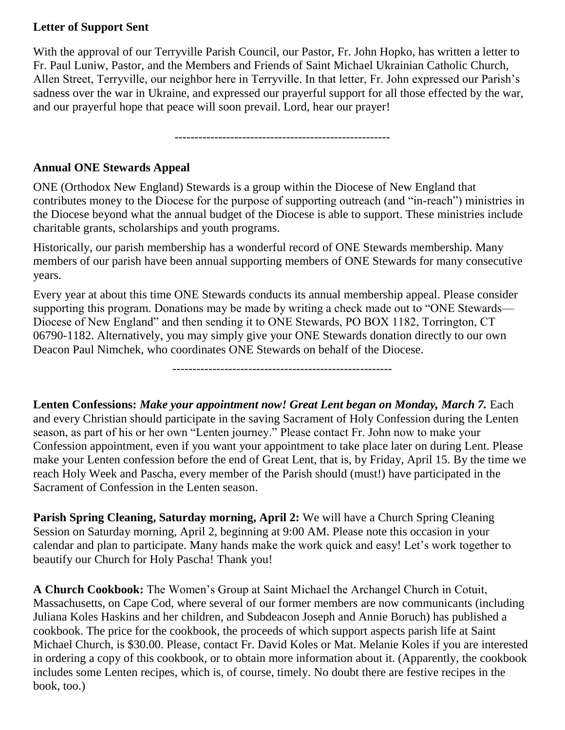# **Letter of Support Sent**

With the approval of our Terryville Parish Council, our Pastor, Fr. John Hopko, has written a letter to Fr. Paul Luniw, Pastor, and the Members and Friends of Saint Michael Ukrainian Catholic Church, Allen Street, Terryville, our neighbor here in Terryville. In that letter, Fr. John expressed our Parish's sadness over the war in Ukraine, and expressed our prayerful support for all those effected by the war, and our prayerful hope that peace will soon prevail. Lord, hear our prayer!

------------------------------------------------------

# **Annual ONE Stewards Appeal**

ONE (Orthodox New England) Stewards is a group within the Diocese of New England that contributes money to the Diocese for the purpose of supporting outreach (and "in-reach") ministries in the Diocese beyond what the annual budget of the Diocese is able to support. These ministries include charitable grants, scholarships and youth programs.

Historically, our parish membership has a wonderful record of ONE Stewards membership. Many members of our parish have been annual supporting members of ONE Stewards for many consecutive years.

Every year at about this time ONE Stewards conducts its annual membership appeal. Please consider supporting this program. Donations may be made by writing a check made out to "ONE Stewards— Diocese of New England" and then sending it to ONE Stewards, PO BOX 1182, Torrington, CT 06790-1182. Alternatively, you may simply give your ONE Stewards donation directly to our own Deacon Paul Nimchek, who coordinates ONE Stewards on behalf of the Diocese.

-------------------------------------------------------

**Lenten Confessions:** *Make your appointment now! Great Lent began on Monday, March 7.* Each and every Christian should participate in the saving Sacrament of Holy Confession during the Lenten season, as part of his or her own "Lenten journey." Please contact Fr. John now to make your Confession appointment, even if you want your appointment to take place later on during Lent. Please make your Lenten confession before the end of Great Lent, that is, by Friday, April 15. By the time we reach Holy Week and Pascha, every member of the Parish should (must!) have participated in the Sacrament of Confession in the Lenten season.

**Parish Spring Cleaning, Saturday morning, April 2:** We will have a Church Spring Cleaning Session on Saturday morning, April 2, beginning at 9:00 AM. Please note this occasion in your calendar and plan to participate. Many hands make the work quick and easy! Let's work together to beautify our Church for Holy Pascha! Thank you!

**A Church Cookbook:** The Women's Group at Saint Michael the Archangel Church in Cotuit, Massachusetts, on Cape Cod, where several of our former members are now communicants (including Juliana Koles Haskins and her children, and Subdeacon Joseph and Annie Boruch) has published a cookbook. The price for the cookbook, the proceeds of which support aspects parish life at Saint Michael Church, is \$30.00. Please, contact Fr. David Koles or Mat. Melanie Koles if you are interested in ordering a copy of this cookbook, or to obtain more information about it. (Apparently, the cookbook includes some Lenten recipes, which is, of course, timely. No doubt there are festive recipes in the book, too.)